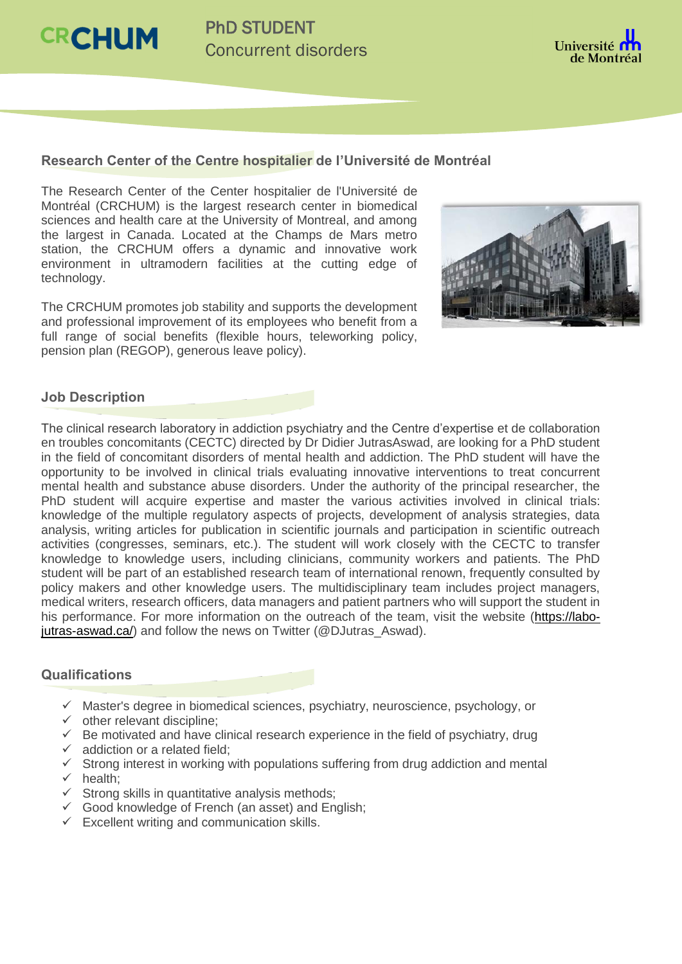**CRCHUM** 



## **Research Center of the Centre hospitalier de l'Université de Montréal**

The Research Center of the Center hospitalier de l'Université de Montréal (CRCHUM) is the largest research center in biomedical sciences and health care at the University of Montreal, and among the largest in Canada. Located at the Champs de Mars metro station, the CRCHUM offers a dynamic and innovative work environment in ultramodern facilities at the cutting edge of technology.

The CRCHUM promotes job stability and supports the development and professional improvement of its employees who benefit from a full range of social benefits (flexible hours, teleworking policy, pension plan (REGOP), generous leave policy).



## **Job Description**

The clinical research laboratory in addiction psychiatry and the Centre d'expertise et de collaboration en troubles concomitants (CECTC) directed by Dr Didier JutrasAswad, are looking for a PhD student in the field of concomitant disorders of mental health and addiction. The PhD student will have the opportunity to be involved in clinical trials evaluating innovative interventions to treat concurrent mental health and substance abuse disorders. Under the authority of the principal researcher, the PhD student will acquire expertise and master the various activities involved in clinical trials: knowledge of the multiple regulatory aspects of projects, development of analysis strategies, data analysis, writing articles for publication in scientific journals and participation in scientific outreach activities (congresses, seminars, etc.). The student will work closely with the CECTC to transfer knowledge to knowledge users, including clinicians, community workers and patients. The PhD student will be part of an established research team of international renown, frequently consulted by policy makers and other knowledge users. The multidisciplinary team includes project managers. medical writers, research officers, data managers and patient partners who will support the student in his performance. For more information on the outreach of the team, visit the website [\(https://labo](mailto:https://labo-jutras-aswad.ca/)[jutras-aswad.ca/\)](mailto:https://labo-jutras-aswad.ca/) and follow the news on Twitter (@DJutras\_Aswad).

## **Qualifications**

- $\checkmark$  Master's degree in biomedical sciences, psychiatry, neuroscience, psychology, or
- $\checkmark$  other relevant discipline:
- $\checkmark$  Be motivated and have clinical research experience in the field of psychiatry, drug
- $\checkmark$  addiction or a related field:
- $\checkmark$  Strong interest in working with populations suffering from drug addiction and mental
- $\checkmark$  health;
- $\checkmark$  Strong skills in quantitative analysis methods;
- $\checkmark$  Good knowledge of French (an asset) and English;
- $\checkmark$  Excellent writing and communication skills.